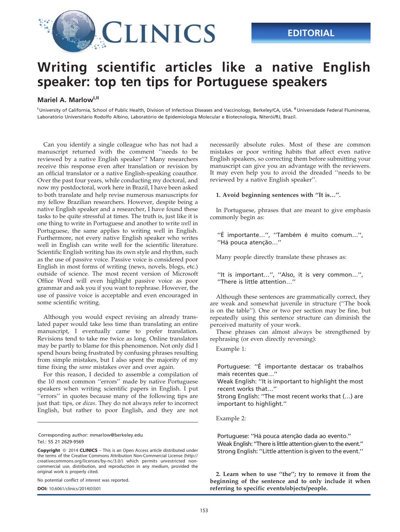

# Writing scientific articles like a native English speaker: top ten tips for Portuguese speakers

## Mariel A. Marlow<sup>I, II</sup>

<sup>I</sup> University of California, School of Public Health, Division of Infectious Diseases and Vaccinology, Berkeley/CA, USA. <sup>II</sup> Universidade Federal Fluminense, Laboratório Universitário Rodolfo Albino, Laboratório de Epidemiologia Molecular e Biotecnologia, Niterói/RJ, Brazil.

Can you identify a single colleague who has not had a manuscript returned with the comment ''needs to be reviewed by a native English speaker''? Many researchers receive this response even after translation or revision by an official translator or a native English-speaking coauthor. Over the past four years, while conducting my doctoral, and now my postdoctoral, work here in Brazil, I have been asked to both translate and help revise numerous manuscripts for my fellow Brazilian researchers. However, despite being a native English speaker and a researcher, I have found these tasks to be quite stressful at times. The truth is, just like it is one thing to write in Portuguese and another to write well in Portuguese, the same applies to writing well in English. Furthermore, not every native English speaker who writes well in English can write well for the scientific literature. Scientific English writing has its own style and rhythm, such as the use of passive voice. Passive voice is considered poor English in most forms of writing (news, novels, blogs, etc.) outside of science. The most recent version of Microsoft Office Word will even highlight passive voice as poor grammar and ask you if you want to rephrase. However, the use of passive voice is acceptable and even encouraged in some scientific writing.

Although you would expect revising an already translated paper would take less time than translating an entire manuscript, I eventually came to prefer translation. Revisions tend to take me twice as long. Online translators may be partly to blame for this phenomenon. Not only did I spend hours being frustrated by confusing phrases resulting from simple mistakes, but I also spent the majority of my time fixing the same mistakes over and over again.

For this reason, I decided to assemble a compilation of the 10 most common ''errors'' made by native Portuguese speakers when writing scientific papers in English. I put ''errors'' in quotes because many of the following tips are just that: tips, or dicas. They do not always refer to incorrect English, but rather to poor English, and they are not

Corresponding author: mmarlow@berkeley.edu Tel.: 55 21 2629-9569

No potential conflict of interest was reported.

DOI: 10.6061/clinics/2014(03)01

necessarily absolute rules. Most of these are common mistakes or poor writing habits that affect even native English speakers, so correcting them before submitting your manuscript can give you an advantage with the reviewers. It may even help you to avoid the dreaded ''needs to be reviewed by a native English speaker''.

#### 1. Avoid beginning sentences with ''It is…''.

In Portuguese, phrases that are meant to give emphasis commonly begin as:

"É importante...", "Também é muito comum...", "Há pouca atenção..."

Many people directly translate these phrases as:

''It is important…'', ''Also, it is very common…'', ''There is little attention…''

Although these sentences are grammatically correct, they are weak and somewhat juvenile in structure (''The book is on the table''). One or two per section may be fine, but repeatedly using this sentence structure can diminish the perceived maturity of your work.

These phrases can almost always be strengthened by rephrasing (or even directly reversing):

Example 1:

Portuguese: "É importante destacar os trabalhos mais recentes que…''

Weak English: ''It is important to highlight the most recent works that…''

Strong English: ''The most recent works that (…) are important to highlight.''

Example 2:

Portuguese: "Há pouca atenção dada ao evento." Weak English: ''There is little attention given to the event.'' Strong English: ''Little attention is given to the event.''

2. Learn when to use ''the''; try to remove it from the beginning of the sentence and to only include it when referring to specific events/objects/people.

Copyright © 2014 CLINICS - This is an Open Access article distributed under the terms of the Creative Commons Attribution Non-Commercial License (http:// creativecommons.org/licenses/by-nc/3.0/) which permits unrestricted noncommercial use, distribution, and reproduction in any medium, provided the original work is properly cited.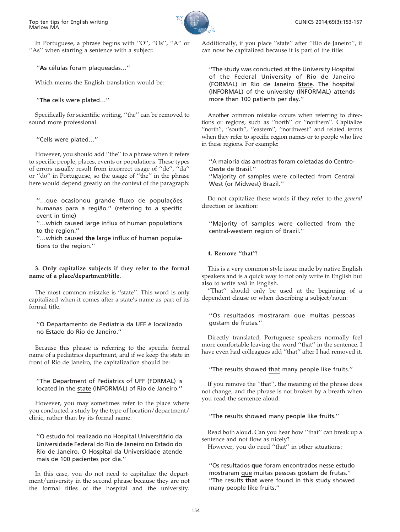

"As células foram plaqueadas..."

Which means the English translation would be:

''The cells were plated…''

Specifically for scientific writing, ''the'' can be removed to sound more professional.

''Cells were plated…''

However, you should add ''the'' to a phrase when it refers to specific people, places, events or populations. These types of errors usually result from incorrect usage of ''de'', ''da'' or ''do'' in Portuguese, so the usage of ''the'' in the phrase here would depend greatly on the context of the paragraph:

"...que ocasionou grande fluxo de populações humanas para a região." (referring to a specific event in time)

''…which caused large influx of human populations to the region.''

''…which caused the large influx of human populations to the region.''

### 3. Only capitalize subjects if they refer to the formal name of a place/department/title.

The most common mistake is ''state''. This word is only capitalized when it comes after a state's name as part of its formal title.

"O Departamento de Pediatria da UFF é localizado no Estado do Rio de Janeiro.''

Because this phrase is referring to the specific formal name of a pediatrics department, and if we keep the state in front of Rio de Janeiro, the capitalization should be:

## ''The Department of Pediatrics of UFF (FORMAL) is located in the state (INFORMAL) of Rio de Janeiro.''

However, you may sometimes refer to the place where you conducted a study by the type of location/department/ clinic, rather than by its formal name:

''O estudo foi realizado no Hospital Universita´rio da Universidade Federal do Rio de Janeiro no Estado do Rio de Janeiro. O Hospital da Universidade atende mais de 100 pacientes por dia.''

In this case, you do not need to capitalize the department/university in the second phrase because they are not the formal titles of the hospital and the university.

CLINICS 2014;69(3):153-157

Additionally, if you place ''state'' after ''Rio de Janeiro'', it can now be capitalized because it is part of the title:

''The study was conducted at the University Hospital of the Federal University of Rio de Janeiro (FORMAL) in Rio de Janeiro State. The hospital (INFORMAL) of the university (INFORMAL) attends more than 100 patients per day.''

Another common mistake occurs when referring to directions or regions, such as ''north'' or ''northern''. Capitalize "north", "south", "eastern", "northwest" and related terms when they refer to specific region names or to people who live in these regions. For example:

''A maioria das amostras foram coletadas do Centro-Oeste de Brasil.'' ''Majority of samples were collected from Central West (or Midwest) Brazil.''

Do not capitalize these words if they refer to the general direction or location:

''Majority of samples were collected from the central-western region of Brazil.''

## 4. Remove ''that''!

This is a very common style issue made by native English speakers and is a quick way to not only write in English but also to write well in English.

"That" should only be used at the beginning of a dependent clause or when describing a subject/noun:

### ''Os resultados mostraram que muitas pessoas gostam de frutas.''

Directly translated, Portuguese speakers normally feel more comfortable leaving the word ''that'' in the sentence. I have even had colleagues add ''that'' after I had removed it.

"The results showed that many people like fruits."

If you remove the ''that'', the meaning of the phrase does not change, and the phrase is not broken by a breath when you read the sentence aloud:

''The results showed many people like fruits.''

Read both aloud. Can you hear how ''that'' can break up a sentence and not flow as nicely?

However, you do need ''that'' in other situations:

''Os resultados que foram encontrados nesse estudo mostraram que muitas pessoas gostam de frutas.'' ''The results that were found in this study showed many people like fruits.''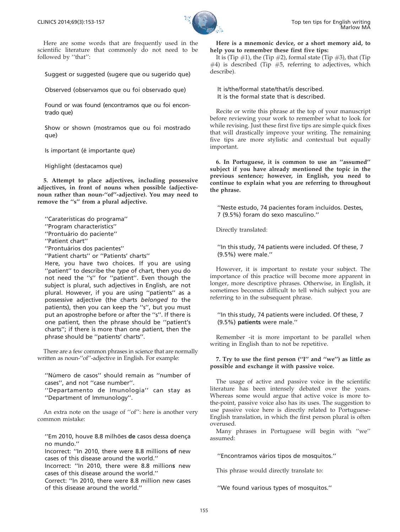

Suggest or suggested (sugere que ou sugerido que)

Observed (observamos que ou foi observado que)

Found or was found (encontramos que ou foi encontrado que)

Show or shown (mostramos que ou foi mostrado que)

Is important (é importante que)

Highlight (destacamos que)

5. Attempt to place adjectives, including possessive adjectives, in front of nouns when possible (adjectivenoun rather than noun-''of''-adjective). You may need to remove the ''s'' from a plural adjective.

"Caraterísticas do programa"

''Program characteristics''

"Prontuário do paciente"

''Patient chart''

"Prontuários dos pacientes"

''Patient charts'' or ''Patients' charts''

Here, you have two choices. If you are using "patient" to describe the type of chart, then you do not need the ''s'' for ''patient''. Even though the subject is plural, such adjectives in English, are not plural. However, if you are using ''patients'' as a possessive adjective (the charts belonged to the patients), then you can keep the ''s'', but you must put an apostrophe before or after the ''s''. If there is one patient, then the phrase should be ''patient's charts''; if there is more than one patient, then the phrase should be ''patients' charts''.

There are a few common phrases in science that are normally written as noun-''of''-adjective in English. For example:

''Nu´ mero de casos'' should remain as ''number of cases'', and not ''case number''.

''Departamento de Imunologia'' can stay as ''Department of Immunology''.

An extra note on the usage of ''of'': here is another very common mistake:

"Em 2010, houve 8.8 milhões de casos dessa doença no mundo.''

Incorrect: ''In 2010, there were 8.8 millions of new cases of this disease around the world.''

Incorrect: ''In 2010, there were 8.8 millions new cases of this disease around the world.''

Correct: ''In 2010, there were 8.8 million new cases of this disease around the world.''

Here is a mnemonic device, or a short memory aid, to help you to remember these first five tips:

It is (Tip  $\#1$ ), the (Tip  $\#2$ ), formal state (Tip  $\#3$ ), that (Tip  $#4$ ) is described (Tip  $#5$ , referring to adjectives, which describe).

It is/the/formal state/that/is described. It is the formal state that is described.

Recite or write this phrase at the top of your manuscript before reviewing your work to remember what to look for while revising. Just these first five tips are simple quick fixes that will drastically improve your writing. The remaining five tips are more stylistic and contextual but equally important.

6. In Portuguese, it is common to use an ''assumed'' subject if you have already mentioned the topic in the previous sentence; however, in English, you need to continue to explain what you are referring to throughout the phrase.

"Neste estudo, 74 pacientes foram incluídos. Destes, 7 (9.5%) foram do sexo masculino.''

Directly translated:

''In this study, 74 patients were included. Of these, 7 (9.5%) were male.''

However, it is important to restate your subject. The importance of this practice will become more apparent in longer, more descriptive phrases. Otherwise, in English, it sometimes becomes difficult to tell which subject you are referring to in the subsequent phrase.

''In this study, 74 patients were included. Of these, 7 (9.5%) patients were male.''

Remember -it is more important to be parallel when writing in English than to not be repetitive.

7. Try to use the first person (''I'' and ''we'') as little as possible and exchange it with passive voice.

The usage of active and passive voice in the scientific literature has been intensely debated over the years. Whereas some would argue that active voice is more tothe-point, passive voice also has its uses. The suggestion to use passive voice here is directly related to Portuguese-English translation, in which the first person plural is often overused.

Many phrases in Portuguese will begin with ''we'' assumed:

"Encontramos vários tipos de mosquitos."

This phrase would directly translate to:

''We found various types of mosquitos.''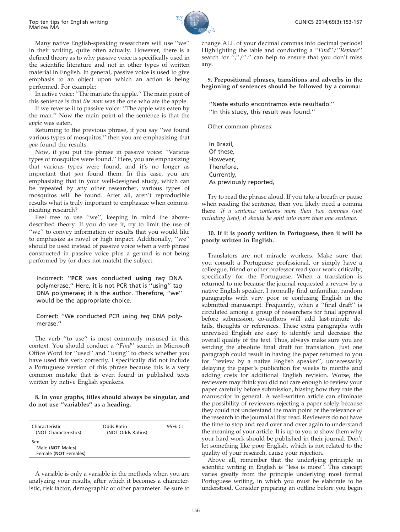

Many native English-speaking researchers will use ''we'' in their writing, quite often actually. However, there is a defined theory as to why passive voice is specifically used in the scientific literature and not in other types of written material in English. In general, passive voice is used to give emphasis to an object upon which an action is being performed. For example:

In active voice: ''The man ate the apple.'' The main point of this sentence is that the man was the one who ate the apple.

If we reverse it to passive voice: ''The apple was eaten by the man.'' Now the main point of the sentence is that the apple was eaten.

Returning to the previous phrase, if you say ''we found various types of mosquitos,'' then you are emphasizing that you found the results.

Now, if you put the phrase in passive voice: ''Various types of mosquitos were found.'' Here, you are emphasizing that various types were found, and it's no longer as important that you found them. In this case, you are emphasizing that in your well-designed study, which can be repeated by any other researcher, various types of mosquitos will be found. After all, aren't reproducible results what is truly important to emphasize when communicating research?

Feel free to use ''we'', keeping in mind the abovedescribed theory. If you do use it, try to limit the use of ''we'' to convey information or results that you would like to emphasize as novel or high impact. Additionally, ''we'' should be used instead of passive voice when a verb phrase constructed in passive voice plus a gerund is not being performed by (or does not match) the subject:

Incorrect: ''PCR was conducted using taq DNA polymerase.'' Here, it is not PCR that is ''using'' taq DNA polymerase; it is the author. Therefore, ''we'' would be the appropriate choice.

Correct: ''We conducted PCR using taq DNA polymerase.''

The verb ''to use'' is most commonly misused in this context. You should conduct a ''Find'' search in Microsoft Office Word for ''used'' and ''using'' to check whether you have used this verb correctly. I specifically did not include a Portuguese version of this phrase because this is a very common mistake that is even found in published texts written by native English speakers.

8. In your graphs, titles should always be singular, and do not use ''variables'' as a heading.

| Characteristic        | Odds Ratio        | 95% CI |
|-----------------------|-------------------|--------|
| (NOT Characteristics) | (NOT Odds Ratios) |        |
| Sex                   |                   |        |
| Male (NOT Males)      |                   |        |
| Female (NOT Females)  |                   |        |
|                       |                   |        |

A variable is only a variable in the methods when you are analyzing your results, after which it becomes a characteristic, risk factor, demographic or other parameter. Be sure to

change ALL of your decimal commas into decimal periods! Highlighting the table and conducting a ''Find''/''Replace'' search for  $i'$ ,''/''.'' can help to ensure that you don't miss any.

9. Prepositional phrases, transitions and adverbs in the beginning of sentences should be followed by a comma:

''Neste estudo encontramos este resultado.'' ''In this study, this result was found.''

Other common phrases:

| In Brazil,              |
|-------------------------|
| Of these,               |
| However.                |
| Therefore,              |
| Currently,              |
| As previously reported, |
|                         |

Try to read the phrase aloud. If you take a breath or pause when reading the sentence, then you likely need a comma there. If a sentence contains more than two commas (not including lists), it should be split into more than one sentence.

#### 10. If it is poorly written in Portuguese, then it will be poorly written in English.

Translators are not miracle workers. Make sure that you consult a Portuguese professional, or simply have a colleague, friend or other professor read your work critically, specifically for the Portuguese. When a translation is returned to me because the journal requested a review by a native English speaker, I normally find unfamiliar, random paragraphs with very poor or confusing English in the submitted manuscript. Frequently, when a ''final draft'' is circulated among a group of researchers for final approval before submission, co-authors will add last-minute details, thoughts or references. These extra paragraphs with unrevised English are easy to identify and decrease the overall quality of the text. Thus, always make sure you are sending the absolute final draft for translation. Just one paragraph could result in having the paper returned to you for ''review by a native English speaker'', unnecessarily delaying the paper's publication for weeks to months and adding costs for additional English revision. Worse, the reviewers may think you did not care enough to review your paper carefully before submission, biasing how they rate the manuscript in general. A well-written article can eliminate the possibility of reviewers rejecting a paper solely because they could not understand the main point or the relevance of the research to the journal at first read. Reviewers do not have the time to stop and read over and over again to understand the meaning of your article. It is up to you to show them why your hard work should be published in their journal. Don't let something like poor English, which is not related to the quality of your research, cause your rejection.

Above all, remember that the underlying principle in scientific writing in English is ''less is more''. This concept varies greatly from the principle underlying most formal Portuguese writing, in which you must be elaborate to be understood. Consider preparing an outline before you begin